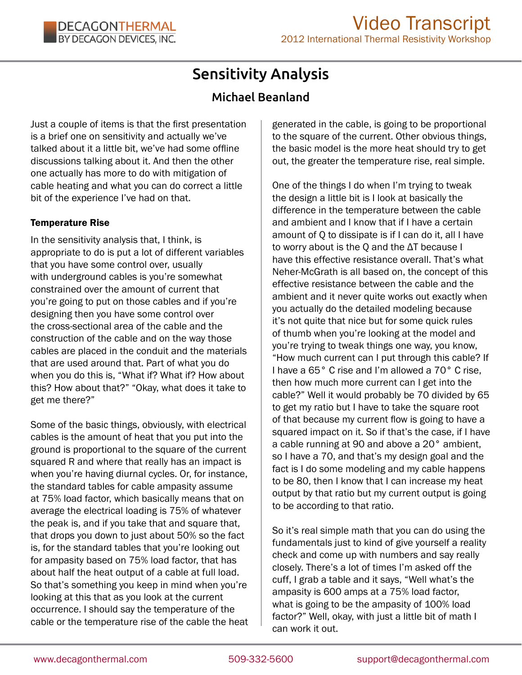# Sensitivity Analysis

# Michael Beanland

Just a couple of items is that the first presentation is a brief one on sensitivity and actually we've talked about it a little bit, we've had some offline discussions talking about it. And then the other one actually has more to do with mitigation of cable heating and what you can do correct a little bit of the experience I've had on that.

#### Temperature Rise

In the sensitivity analysis that, I think, is appropriate to do is put a lot of different variables that you have some control over, usually with underground cables is you're somewhat constrained over the amount of current that you're going to put on those cables and if you're designing then you have some control over the cross-sectional area of the cable and the construction of the cable and on the way those cables are placed in the conduit and the materials that are used around that. Part of what you do when you do this is, "What if? What if? How about this? How about that?" "Okay, what does it take to get me there?"

Some of the basic things, obviously, with electrical cables is the amount of heat that you put into the ground is proportional to the square of the current squared R and where that really has an impact is when you're having diurnal cycles. Or, for instance, the standard tables for cable ampasity assume at 75% load factor, which basically means that on average the electrical loading is 75% of whatever the peak is, and if you take that and square that, that drops you down to just about 50% so the fact is, for the standard tables that you're looking out for ampasity based on 75% load factor, that has about half the heat output of a cable at full load. So that's something you keep in mind when you're looking at this that as you look at the current occurrence. I should say the temperature of the cable or the temperature rise of the cable the heat generated in the cable, is going to be proportional to the square of the current. Other obvious things, the basic model is the more heat should try to get out, the greater the temperature rise, real simple.

One of the things I do when I'm trying to tweak the design a little bit is I look at basically the difference in the temperature between the cable and ambient and I know that if I have a certain amount of Q to dissipate is if I can do it, all I have to worry about is the Q and the ΔT because I have this effective resistance overall. That's what Neher-McGrath is all based on, the concept of this effective resistance between the cable and the ambient and it never quite works out exactly when you actually do the detailed modeling because it's not quite that nice but for some quick rules of thumb when you're looking at the model and you're trying to tweak things one way, you know, "How much current can I put through this cable? If I have a 65° C rise and I'm allowed a 70° C rise, then how much more current can I get into the cable?" Well it would probably be 70 divided by 65 to get my ratio but I have to take the square root of that because my current flow is going to have a squared impact on it. So if that's the case, if I have a cable running at 90 and above a 20° ambient, so I have a 70, and that's my design goal and the fact is I do some modeling and my cable happens to be 80, then I know that I can increase my heat output by that ratio but my current output is going to be according to that ratio.

So it's real simple math that you can do using the fundamentals just to kind of give yourself a reality check and come up with numbers and say really closely. There's a lot of times I'm asked off the cuff, I grab a table and it says, "Well what's the ampasity is 600 amps at a 75% load factor, what is going to be the ampasity of 100% load factor?" Well, okay, with just a little bit of math I can work it out.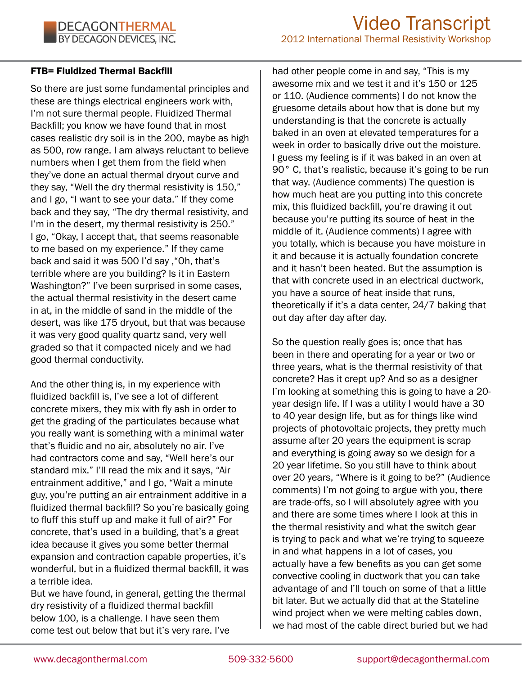#### FTB= Fluidized Thermal Backfill

So there are just some fundamental principles and these are things electrical engineers work with, I'm not sure thermal people. Fluidized Thermal Backfill; you know we have found that in most cases realistic dry soil is in the 200, maybe as high as 500, row range. I am always reluctant to believe numbers when I get them from the field when they've done an actual thermal dryout curve and they say, "Well the dry thermal resistivity is 150," and I go, "I want to see your data." If they come back and they say, "The dry thermal resistivity, and I'm in the desert, my thermal resistivity is 250." I go, "Okay, I accept that, that seems reasonable to me based on my experience." If they came back and said it was 500 I'd say ,"Oh, that's terrible where are you building? Is it in Eastern Washington?" I've been surprised in some cases, the actual thermal resistivity in the desert came in at, in the middle of sand in the middle of the desert, was like 175 dryout, but that was because it was very good quality quartz sand, very well graded so that it compacted nicely and we had good thermal conductivity.

And the other thing is, in my experience with fluidized backfill is, I've see a lot of different concrete mixers, they mix with fly ash in order to get the grading of the particulates because what you really want is something with a minimal water that's fluidic and no air, absolutely no air. I've had contractors come and say, "Well here's our standard mix." I'll read the mix and it says, "Air entrainment additive," and I go, "Wait a minute guy, you're putting an air entrainment additive in a fluidized thermal backfill? So you're basically going to fluff this stuff up and make it full of air?" For concrete, that's used in a building, that's a great idea because it gives you some better thermal expansion and contraction capable properties, it's wonderful, but in a fluidized thermal backfill, it was a terrible idea.

But we have found, in general, getting the thermal dry resistivity of a fluidized thermal backfill below 100, is a challenge. I have seen them come test out below that but it's very rare. I've

had other people come in and say, "This is my awesome mix and we test it and it's 150 or 125 or 110. (Audience comments) I do not know the gruesome details about how that is done but my understanding is that the concrete is actually baked in an oven at elevated temperatures for a week in order to basically drive out the moisture. I guess my feeling is if it was baked in an oven at 90° C, that's realistic, because it's going to be run that way. (Audience comments) The question is how much heat are you putting into this concrete mix, this fluidized backfill, you're drawing it out because you're putting its source of heat in the middle of it. (Audience comments) I agree with you totally, which is because you have moisture in it and because it is actually foundation concrete and it hasn't been heated. But the assumption is that with concrete used in an electrical ductwork, you have a source of heat inside that runs, theoretically if it's a data center, 24/7 baking that out day after day after day.

So the question really goes is; once that has been in there and operating for a year or two or three years, what is the thermal resistivity of that concrete? Has it crept up? And so as a designer I'm looking at something this is going to have a 20 year design life. If I was a utility I would have a 30 to 40 year design life, but as for things like wind projects of photovoltaic projects, they pretty much assume after 20 years the equipment is scrap and everything is going away so we design for a 20 year lifetime. So you still have to think about over 20 years, "Where is it going to be?" (Audience comments) I'm not going to argue with you, there are trade-offs, so I will absolutely agree with you and there are some times where I look at this in the thermal resistivity and what the switch gear is trying to pack and what we're trying to squeeze in and what happens in a lot of cases, you actually have a few benefits as you can get some convective cooling in ductwork that you can take advantage of and I'll touch on some of that a little bit later. But we actually did that at the Stateline wind project when we were melting cables down, we had most of the cable direct buried but we had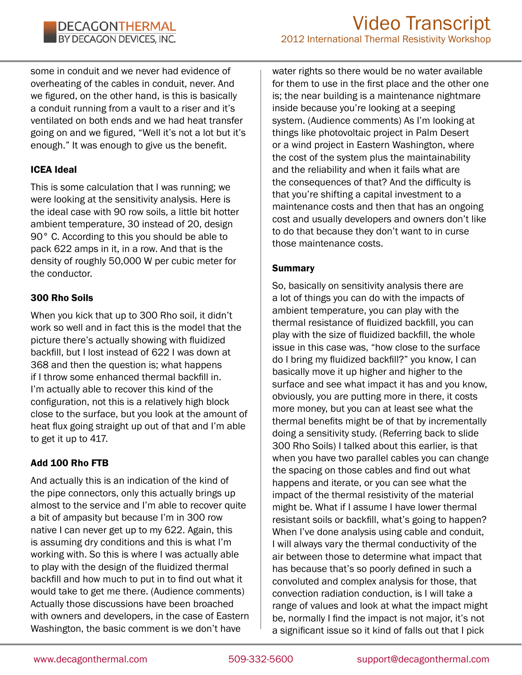#### **DECAGONTHERMAL** BY DECAGON DEVICES, INC.

some in conduit and we never had evidence of overheating of the cables in conduit, never. And we figured, on the other hand, is this is basically a conduit running from a vault to a riser and it's ventilated on both ends and we had heat transfer going on and we figured, "Well it's not a lot but it's enough." It was enough to give us the benefit.

# ICEA Ideal

This is some calculation that I was running; we were looking at the sensitivity analysis. Here is the ideal case with 90 row soils, a little bit hotter ambient temperature, 30 instead of 20, design 90° C. According to this you should be able to pack 622 amps in it, in a row. And that is the density of roughly 50,000 W per cubic meter for the conductor.

# 300 Rho Soils

When you kick that up to 300 Rho soil, it didn't work so well and in fact this is the model that the picture there's actually showing with fluidized backfill, but I lost instead of 622 I was down at 368 and then the question is; what happens if I throw some enhanced thermal backfill in. I'm actually able to recover this kind of the configuration, not this is a relatively high block close to the surface, but you look at the amount of heat flux going straight up out of that and I'm able to get it up to 417.

# Add 100 Rho FTB

And actually this is an indication of the kind of the pipe connectors, only this actually brings up almost to the service and I'm able to recover quite a bit of ampasity but because I'm in 300 row native I can never get up to my 622. Again, this is assuming dry conditions and this is what I'm working with. So this is where I was actually able to play with the design of the fluidized thermal backfill and how much to put in to find out what it would take to get me there. (Audience comments) Actually those discussions have been broached with owners and developers, in the case of Eastern Washington, the basic comment is we don't have

water rights so there would be no water available for them to use in the first place and the other one is; the near building is a maintenance nightmare inside because you're looking at a seeping system. (Audience comments) As I'm looking at things like photovoltaic project in Palm Desert or a wind project in Eastern Washington, where the cost of the system plus the maintainability and the reliability and when it fails what are the consequences of that? And the difficulty is that you're shifting a capital investment to a maintenance costs and then that has an ongoing cost and usually developers and owners don't like to do that because they don't want to in curse those maintenance costs.

#### Summary

So, basically on sensitivity analysis there are a lot of things you can do with the impacts of ambient temperature, you can play with the thermal resistance of fluidized backfill, you can play with the size of fluidized backfill, the whole issue in this case was, "how close to the surface do I bring my fluidized backfill?" you know, I can basically move it up higher and higher to the surface and see what impact it has and you know, obviously, you are putting more in there, it costs more money, but you can at least see what the thermal benefits might be of that by incrementally doing a sensitivity study. (Referring back to slide 300 Rho Soils) I talked about this earlier, is that when you have two parallel cables you can change the spacing on those cables and find out what happens and iterate, or you can see what the impact of the thermal resistivity of the material might be. What if I assume I have lower thermal resistant soils or backfill, what's going to happen? When I've done analysis using cable and conduit, I will always vary the thermal conductivity of the air between those to determine what impact that has because that's so poorly defined in such a convoluted and complex analysis for those, that convection radiation conduction, is I will take a range of values and look at what the impact might be, normally I find the impact is not major, it's not a significant issue so it kind of falls out that I pick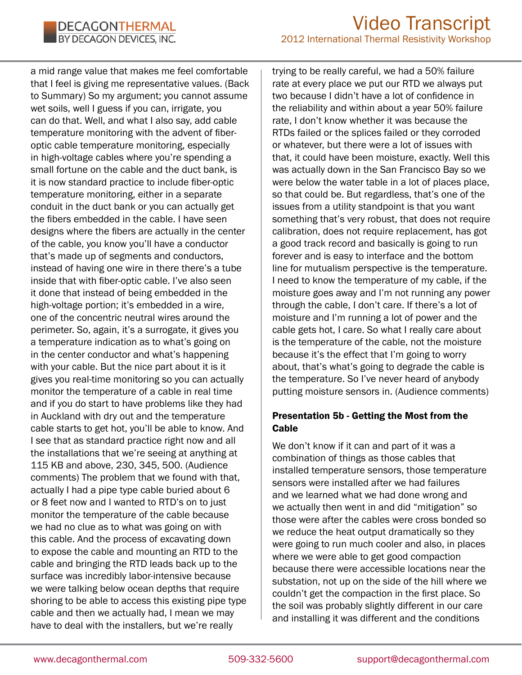a mid range value that makes me feel comfortable that I feel is giving me representative values. (Back to Summary) So my argument; you cannot assume wet soils, well I guess if you can, irrigate, you can do that. Well, and what I also say, add cable temperature monitoring with the advent of fiberoptic cable temperature monitoring, especially in high-voltage cables where you're spending a small fortune on the cable and the duct bank, is it is now standard practice to include fiber-optic temperature monitoring, either in a separate conduit in the duct bank or you can actually get the fibers embedded in the cable. I have seen designs where the fibers are actually in the center of the cable, you know you'll have a conductor that's made up of segments and conductors, instead of having one wire in there there's a tube inside that with fiber-optic cable. I've also seen it done that instead of being embedded in the high-voltage portion; it's embedded in a wire, one of the concentric neutral wires around the perimeter. So, again, it's a surrogate, it gives you a temperature indication as to what's going on in the center conductor and what's happening with your cable. But the nice part about it is it gives you real-time monitoring so you can actually monitor the temperature of a cable in real time and if you do start to have problems like they had in Auckland with dry out and the temperature cable starts to get hot, you'll be able to know. And I see that as standard practice right now and all the installations that we're seeing at anything at 115 KB and above, 230, 345, 500. (Audience comments) The problem that we found with that, actually I had a pipe type cable buried about 6 or 8 feet now and I wanted to RTD's on to just monitor the temperature of the cable because we had no clue as to what was going on with this cable. And the process of excavating down to expose the cable and mounting an RTD to the cable and bringing the RTD leads back up to the surface was incredibly labor-intensive because we were talking below ocean depths that require shoring to be able to access this existing pipe type cable and then we actually had, I mean we may have to deal with the installers, but we're really

trying to be really careful, we had a 50% failure rate at every place we put our RTD we always put two because I didn't have a lot of confidence in the reliability and within about a year 50% failure rate, I don't know whether it was because the RTDs failed or the splices failed or they corroded or whatever, but there were a lot of issues with that, it could have been moisture, exactly. Well this was actually down in the San Francisco Bay so we were below the water table in a lot of places place, so that could be. But regardless, that's one of the issues from a utility standpoint is that you want something that's very robust, that does not require calibration, does not require replacement, has got a good track record and basically is going to run forever and is easy to interface and the bottom line for mutualism perspective is the temperature. I need to know the temperature of my cable, if the moisture goes away and I'm not running any power through the cable, I don't care. If there's a lot of moisture and I'm running a lot of power and the cable gets hot, I care. So what I really care about is the temperature of the cable, not the moisture because it's the effect that I'm going to worry about, that's what's going to degrade the cable is the temperature. So I've never heard of anybody putting moisture sensors in. (Audience comments)

#### Presentation 5b - Getting the Most from the **Cable**

We don't know if it can and part of it was a combination of things as those cables that installed temperature sensors, those temperature sensors were installed after we had failures and we learned what we had done wrong and we actually then went in and did "mitigation" so those were after the cables were cross bonded so we reduce the heat output dramatically so they were going to run much cooler and also, in places where we were able to get good compaction because there were accessible locations near the substation, not up on the side of the hill where we couldn't get the compaction in the first place. So the soil was probably slightly different in our care and installing it was different and the conditions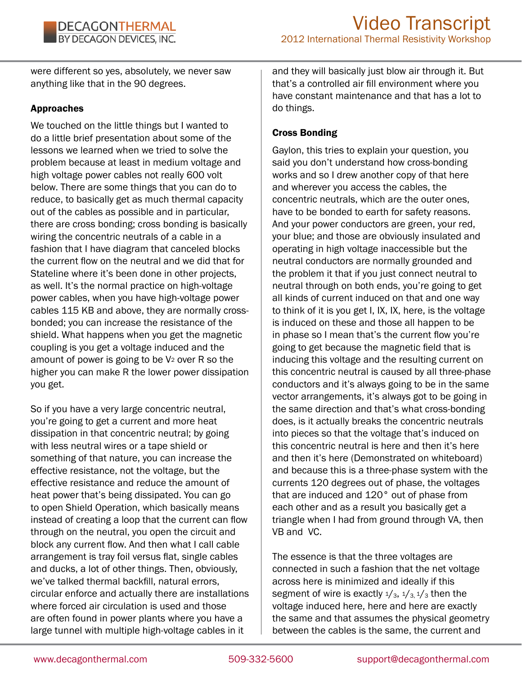were different so yes, absolutely, we never saw anything like that in the 90 degrees.

#### Approaches

We touched on the little things but I wanted to do a little brief presentation about some of the lessons we learned when we tried to solve the problem because at least in medium voltage and high voltage power cables not really 600 volt below. There are some things that you can do to reduce, to basically get as much thermal capacity out of the cables as possible and in particular, there are cross bonding; cross bonding is basically wiring the concentric neutrals of a cable in a fashion that I have diagram that canceled blocks the current flow on the neutral and we did that for Stateline where it's been done in other projects, as well. It's the normal practice on high-voltage power cables, when you have high-voltage power cables 115 KB and above, they are normally crossbonded; you can increase the resistance of the shield. What happens when you get the magnetic coupling is you get a voltage induced and the amount of power is going to be V2 over R so the higher you can make R the lower power dissipation you get.

So if you have a very large concentric neutral, you're going to get a current and more heat dissipation in that concentric neutral; by going with less neutral wires or a tape shield or something of that nature, you can increase the effective resistance, not the voltage, but the effective resistance and reduce the amount of heat power that's being dissipated. You can go to open Shield Operation, which basically means instead of creating a loop that the current can flow through on the neutral, you open the circuit and block any current flow. And then what I call cable arrangement is tray foil versus flat, single cables and ducks, a lot of other things. Then, obviously, we've talked thermal backfill, natural errors, circular enforce and actually there are installations where forced air circulation is used and those are often found in power plants where you have a large tunnel with multiple high-voltage cables in it

and they will basically just blow air through it. But that's a controlled air fill environment where you have constant maintenance and that has a lot to do things.

#### Cross Bonding

Gaylon, this tries to explain your question, you said you don't understand how cross-bonding works and so I drew another copy of that here and wherever you access the cables, the concentric neutrals, which are the outer ones, have to be bonded to earth for safety reasons. And your power conductors are green, your red, your blue; and those are obviously insulated and operating in high voltage inaccessible but the neutral conductors are normally grounded and the problem it that if you just connect neutral to neutral through on both ends, you're going to get all kinds of current induced on that and one way to think of it is you get I, IX, IX, here, is the voltage is induced on these and those all happen to be in phase so I mean that's the current flow you're going to get because the magnetic field that is inducing this voltage and the resulting current on this concentric neutral is caused by all three-phase conductors and it's always going to be in the same vector arrangements, it's always got to be going in the same direction and that's what cross-bonding does, is it actually breaks the concentric neutrals into pieces so that the voltage that's induced on this concentric neutral is here and then it's here and then it's here (Demonstrated on whiteboard) and because this is a three-phase system with the currents 120 degrees out of phase, the voltages that are induced and 120° out of phase from each other and as a result you basically get a triangle when I had from ground through VA, then VB and VC.

The essence is that the three voltages are connected in such a fashion that the net voltage across here is minimized and ideally if this segment of wire is exactly  $1/3$ ,  $1/3$ ,  $1/3$  then the voltage induced here, here and here are exactly the same and that assumes the physical geometry between the cables is the same, the current and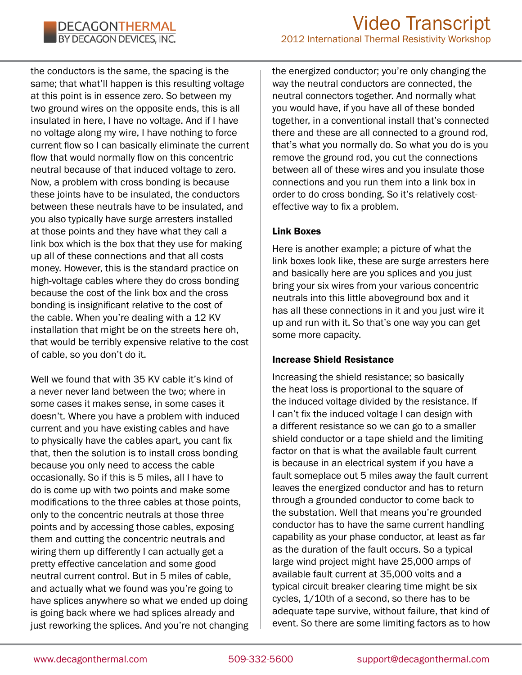the conductors is the same, the spacing is the same; that what'll happen is this resulting voltage at this point is in essence zero. So between my two ground wires on the opposite ends, this is all insulated in here, I have no voltage. And if I have no voltage along my wire, I have nothing to force current flow so I can basically eliminate the current flow that would normally flow on this concentric neutral because of that induced voltage to zero. Now, a problem with cross bonding is because these joints have to be insulated, the conductors between these neutrals have to be insulated, and you also typically have surge arresters installed at those points and they have what they call a link box which is the box that they use for making up all of these connections and that all costs money. However, this is the standard practice on high-voltage cables where they do cross bonding because the cost of the link box and the cross bonding is insignificant relative to the cost of the cable. When you're dealing with a 12 KV installation that might be on the streets here oh, that would be terribly expensive relative to the cost of cable, so you don't do it.

Well we found that with 35 KV cable it's kind of a never never land between the two; where in some cases it makes sense, in some cases it doesn't. Where you have a problem with induced current and you have existing cables and have to physically have the cables apart, you cant fix that, then the solution is to install cross bonding because you only need to access the cable occasionally. So if this is 5 miles, all I have to do is come up with two points and make some modifications to the three cables at those points, only to the concentric neutrals at those three points and by accessing those cables, exposing them and cutting the concentric neutrals and wiring them up differently I can actually get a pretty effective cancelation and some good neutral current control. But in 5 miles of cable, and actually what we found was you're going to have splices anywhere so what we ended up doing is going back where we had splices already and just reworking the splices. And you're not changing the energized conductor; you're only changing the way the neutral conductors are connected, the neutral connectors together. And normally what you would have, if you have all of these bonded together, in a conventional install that's connected there and these are all connected to a ground rod, that's what you normally do. So what you do is you remove the ground rod, you cut the connections between all of these wires and you insulate those connections and you run them into a link box in order to do cross bonding. So it's relatively costeffective way to fix a problem.

#### Link Boxes

Here is another example; a picture of what the link boxes look like, these are surge arresters here and basically here are you splices and you just bring your six wires from your various concentric neutrals into this little aboveground box and it has all these connections in it and you just wire it up and run with it. So that's one way you can get some more capacity.

#### Increase Shield Resistance

Increasing the shield resistance; so basically the heat loss is proportional to the square of the induced voltage divided by the resistance. If I can't fix the induced voltage I can design with a different resistance so we can go to a smaller shield conductor or a tape shield and the limiting factor on that is what the available fault current is because in an electrical system if you have a fault someplace out 5 miles away the fault current leaves the energized conductor and has to return through a grounded conductor to come back to the substation. Well that means you're grounded conductor has to have the same current handling capability as your phase conductor, at least as far as the duration of the fault occurs. So a typical large wind project might have 25,000 amps of available fault current at 35,000 volts and a typical circuit breaker clearing time might be six cycles, 1/10th of a second, so there has to be adequate tape survive, without failure, that kind of event. So there are some limiting factors as to how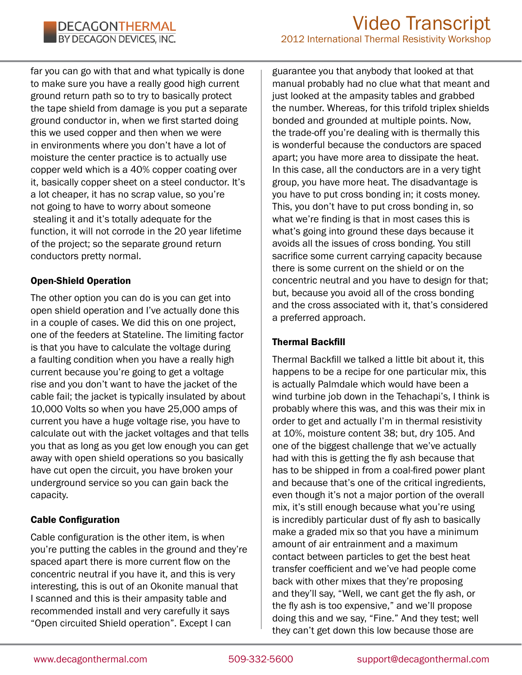far you can go with that and what typically is done to make sure you have a really good high current ground return path so to try to basically protect the tape shield from damage is you put a separate ground conductor in, when we first started doing this we used copper and then when we were in environments where you don't have a lot of moisture the center practice is to actually use copper weld which is a 40% copper coating over it, basically copper sheet on a steel conductor. It's a lot cheaper, it has no scrap value, so you're not going to have to worry about someone stealing it and it's totally adequate for the function, it will not corrode in the 20 year lifetime of the project; so the separate ground return conductors pretty normal.

# Open-Shield Operation

The other option you can do is you can get into open shield operation and I've actually done this in a couple of cases. We did this on one project, one of the feeders at Stateline. The limiting factor is that you have to calculate the voltage during a faulting condition when you have a really high current because you're going to get a voltage rise and you don't want to have the jacket of the cable fail; the jacket is typically insulated by about 10,000 Volts so when you have 25,000 amps of current you have a huge voltage rise, you have to calculate out with the jacket voltages and that tells you that as long as you get low enough you can get away with open shield operations so you basically have cut open the circuit, you have broken your underground service so you can gain back the capacity.

# Cable Configuration

Cable configuration is the other item, is when you're putting the cables in the ground and they're spaced apart there is more current flow on the concentric neutral if you have it, and this is very interesting, this is out of an Okonite manual that I scanned and this is their ampasity table and recommended install and very carefully it says "Open circuited Shield operation". Except I can

guarantee you that anybody that looked at that manual probably had no clue what that meant and just looked at the ampasity tables and grabbed the number. Whereas, for this trifold triplex shields bonded and grounded at multiple points. Now, the trade-off you're dealing with is thermally this is wonderful because the conductors are spaced apart; you have more area to dissipate the heat. In this case, all the conductors are in a very tight group, you have more heat. The disadvantage is you have to put cross bonding in; it costs money. This, you don't have to put cross bonding in, so what we're finding is that in most cases this is what's going into ground these days because it avoids all the issues of cross bonding. You still sacrifice some current carrying capacity because there is some current on the shield or on the concentric neutral and you have to design for that; but, because you avoid all of the cross bonding and the cross associated with it, that's considered a preferred approach.

# Thermal Backfill

Thermal Backfill we talked a little bit about it, this happens to be a recipe for one particular mix, this is actually Palmdale which would have been a wind turbine job down in the Tehachapi's, I think is probably where this was, and this was their mix in order to get and actually I'm in thermal resistivity at 10%, moisture content 38; but, dry 105. And one of the biggest challenge that we've actually had with this is getting the fly ash because that has to be shipped in from a coal-fired power plant and because that's one of the critical ingredients, even though it's not a major portion of the overall mix, it's still enough because what you're using is incredibly particular dust of fly ash to basically make a graded mix so that you have a minimum amount of air entrainment and a maximum contact between particles to get the best heat transfer coefficient and we've had people come back with other mixes that they're proposing and they'll say, "Well, we cant get the fly ash, or the fly ash is too expensive," and we'll propose doing this and we say, "Fine." And they test; well they can't get down this low because those are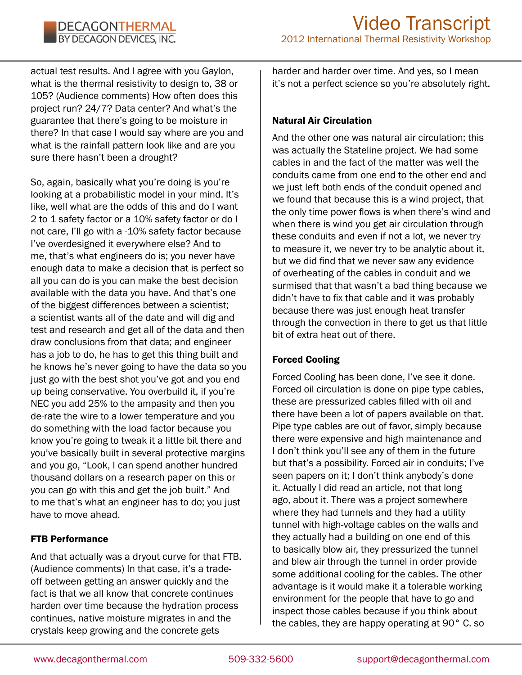actual test results. And I agree with you Gaylon, what is the thermal resistivity to design to, 38 or 105? (Audience comments) How often does this project run? 24/7? Data center? And what's the guarantee that there's going to be moisture in there? In that case I would say where are you and what is the rainfall pattern look like and are you sure there hasn't been a drought?

So, again, basically what you're doing is you're looking at a probabilistic model in your mind. It's like, well what are the odds of this and do I want 2 to 1 safety factor or a 10% safety factor or do I not care, I'll go with a -10% safety factor because I've overdesigned it everywhere else? And to me, that's what engineers do is; you never have enough data to make a decision that is perfect so all you can do is you can make the best decision available with the data you have. And that's one of the biggest differences between a scientist; a scientist wants all of the date and will dig and test and research and get all of the data and then draw conclusions from that data; and engineer has a job to do, he has to get this thing built and he knows he's never going to have the data so you just go with the best shot you've got and you end up being conservative. You overbuild it, if you're NEC you add 25% to the ampasity and then you de-rate the wire to a lower temperature and you do something with the load factor because you know you're going to tweak it a little bit there and you've basically built in several protective margins and you go, "Look, I can spend another hundred thousand dollars on a research paper on this or you can go with this and get the job built." And to me that's what an engineer has to do; you just have to move ahead.

#### FTB Performance

And that actually was a dryout curve for that FTB. (Audience comments) In that case, it's a tradeoff between getting an answer quickly and the fact is that we all know that concrete continues harden over time because the hydration process continues, native moisture migrates in and the crystals keep growing and the concrete gets

harder and harder over time. And yes, so I mean it's not a perfect science so you're absolutely right.

### Natural Air Circulation

And the other one was natural air circulation; this was actually the Stateline project. We had some cables in and the fact of the matter was well the conduits came from one end to the other end and we just left both ends of the conduit opened and we found that because this is a wind project, that the only time power flows is when there's wind and when there is wind you get air circulation through these conduits and even if not a lot, we never try to measure it, we never try to be analytic about it, but we did find that we never saw any evidence of overheating of the cables in conduit and we surmised that that wasn't a bad thing because we didn't have to fix that cable and it was probably because there was just enough heat transfer through the convection in there to get us that little bit of extra heat out of there.

#### Forced Cooling

Forced Cooling has been done, I've see it done. Forced oil circulation is done on pipe type cables, these are pressurized cables filled with oil and there have been a lot of papers available on that. Pipe type cables are out of favor, simply because there were expensive and high maintenance and I don't think you'll see any of them in the future but that's a possibility. Forced air in conduits; I've seen papers on it; I don't think anybody's done it. Actually I did read an article, not that long ago, about it. There was a project somewhere where they had tunnels and they had a utility tunnel with high-voltage cables on the walls and they actually had a building on one end of this to basically blow air, they pressurized the tunnel and blew air through the tunnel in order provide some additional cooling for the cables. The other advantage is it would make it a tolerable working environment for the people that have to go and inspect those cables because if you think about the cables, they are happy operating at 90° C. so